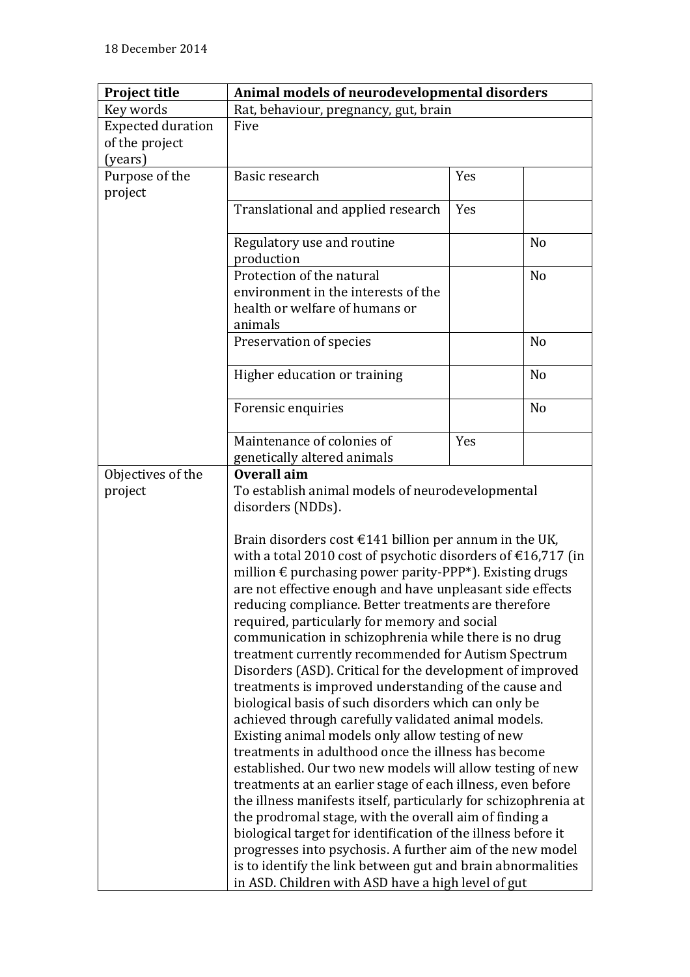| <b>Project title</b>                                      | Animal models of neurodevelopmental disorders                                                                                                         |     |                |  |
|-----------------------------------------------------------|-------------------------------------------------------------------------------------------------------------------------------------------------------|-----|----------------|--|
| Key words                                                 | Rat, behaviour, pregnancy, gut, brain                                                                                                                 |     |                |  |
| <b>Expected duration</b>                                  | Five                                                                                                                                                  |     |                |  |
| of the project                                            |                                                                                                                                                       |     |                |  |
| (years)                                                   |                                                                                                                                                       |     |                |  |
| Purpose of the                                            | Basic research                                                                                                                                        | Yes |                |  |
| project                                                   |                                                                                                                                                       |     |                |  |
|                                                           | Translational and applied research                                                                                                                    | Yes |                |  |
|                                                           |                                                                                                                                                       |     |                |  |
|                                                           | Regulatory use and routine                                                                                                                            |     | N <sub>o</sub> |  |
|                                                           | production                                                                                                                                            |     |                |  |
|                                                           | Protection of the natural                                                                                                                             |     | N <sub>o</sub> |  |
|                                                           | environment in the interests of the                                                                                                                   |     |                |  |
|                                                           | health or welfare of humans or                                                                                                                        |     |                |  |
|                                                           | animals                                                                                                                                               |     |                |  |
|                                                           | Preservation of species                                                                                                                               |     | N <sub>o</sub> |  |
|                                                           |                                                                                                                                                       |     |                |  |
|                                                           | Higher education or training                                                                                                                          |     | N <sub>o</sub> |  |
|                                                           |                                                                                                                                                       |     |                |  |
|                                                           | Forensic enquiries                                                                                                                                    |     | N <sub>o</sub> |  |
|                                                           |                                                                                                                                                       |     |                |  |
|                                                           | Maintenance of colonies of                                                                                                                            | Yes |                |  |
|                                                           | genetically altered animals                                                                                                                           |     |                |  |
| Objectives of the                                         | Overall aim<br>To establish animal models of neurodevelopmental                                                                                       |     |                |  |
| project                                                   |                                                                                                                                                       |     |                |  |
|                                                           | disorders (NDDs).                                                                                                                                     |     |                |  |
|                                                           |                                                                                                                                                       |     |                |  |
|                                                           | Brain disorders cost $\epsilon$ 141 billion per annum in the UK,<br>with a total 2010 cost of psychotic disorders of $\text{\textsterling}16,717$ (in |     |                |  |
|                                                           | million € purchasing power parity-PPP*). Existing drugs<br>are not effective enough and have unpleasant side effects                                  |     |                |  |
|                                                           |                                                                                                                                                       |     |                |  |
|                                                           | reducing compliance. Better treatments are therefore                                                                                                  |     |                |  |
|                                                           | required, particularly for memory and social                                                                                                          |     |                |  |
|                                                           | communication in schizophrenia while there is no drug                                                                                                 |     |                |  |
|                                                           | treatment currently recommended for Autism Spectrum                                                                                                   |     |                |  |
|                                                           | Disorders (ASD). Critical for the development of improved                                                                                             |     |                |  |
|                                                           | treatments is improved understanding of the cause and                                                                                                 |     |                |  |
|                                                           | biological basis of such disorders which can only be                                                                                                  |     |                |  |
|                                                           | achieved through carefully validated animal models.                                                                                                   |     |                |  |
|                                                           | Existing animal models only allow testing of new                                                                                                      |     |                |  |
|                                                           | treatments in adulthood once the illness has become                                                                                                   |     |                |  |
|                                                           | established. Our two new models will allow testing of new                                                                                             |     |                |  |
|                                                           | treatments at an earlier stage of each illness, even before                                                                                           |     |                |  |
|                                                           | the illness manifests itself, particularly for schizophrenia at                                                                                       |     |                |  |
|                                                           | the prodromal stage, with the overall aim of finding a<br>biological target for identification of the illness before it                               |     |                |  |
|                                                           |                                                                                                                                                       |     |                |  |
| progresses into psychosis. A further aim of the new model |                                                                                                                                                       |     |                |  |
|                                                           | is to identify the link between gut and brain abnormalities                                                                                           |     |                |  |
|                                                           | in ASD. Children with ASD have a high level of gut                                                                                                    |     |                |  |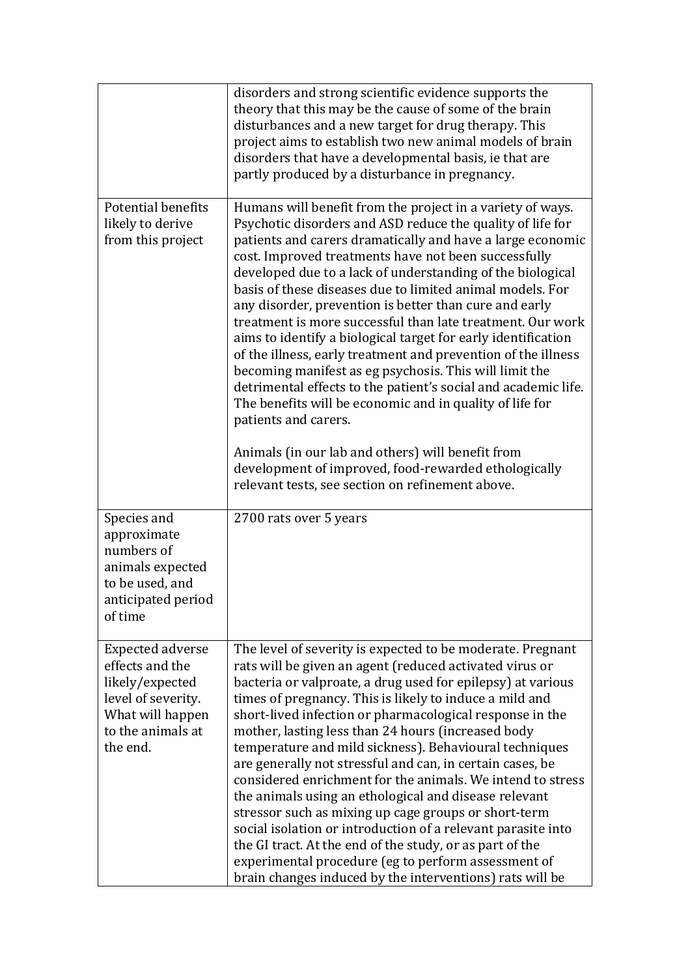|                                                                                                                                          | disorders and strong scientific evidence supports the<br>theory that this may be the cause of some of the brain<br>disturbances and a new target for drug therapy. This<br>project aims to establish two new animal models of brain<br>disorders that have a developmental basis, ie that are<br>partly produced by a disturbance in pregnancy.                                                                                                                                                                                                                                                                                                                                                                                                                                                                                                                                                                                                                                                                      |  |
|------------------------------------------------------------------------------------------------------------------------------------------|----------------------------------------------------------------------------------------------------------------------------------------------------------------------------------------------------------------------------------------------------------------------------------------------------------------------------------------------------------------------------------------------------------------------------------------------------------------------------------------------------------------------------------------------------------------------------------------------------------------------------------------------------------------------------------------------------------------------------------------------------------------------------------------------------------------------------------------------------------------------------------------------------------------------------------------------------------------------------------------------------------------------|--|
| <b>Potential benefits</b><br>likely to derive<br>from this project                                                                       | Humans will benefit from the project in a variety of ways.<br>Psychotic disorders and ASD reduce the quality of life for<br>patients and carers dramatically and have a large economic<br>cost. Improved treatments have not been successfully<br>developed due to a lack of understanding of the biological<br>basis of these diseases due to limited animal models. For<br>any disorder, prevention is better than cure and early<br>treatment is more successful than late treatment. Our work<br>aims to identify a biological target for early identification<br>of the illness, early treatment and prevention of the illness<br>becoming manifest as eg psychosis. This will limit the<br>detrimental effects to the patient's social and academic life.<br>The benefits will be economic and in quality of life for<br>patients and carers.<br>Animals (in our lab and others) will benefit from<br>development of improved, food-rewarded ethologically<br>relevant tests, see section on refinement above. |  |
| Species and<br>approximate<br>numbers of<br>animals expected<br>to be used, and<br>anticipated period<br>of time                         | 2700 rats over 5 years                                                                                                                                                                                                                                                                                                                                                                                                                                                                                                                                                                                                                                                                                                                                                                                                                                                                                                                                                                                               |  |
| <b>Expected adverse</b><br>effects and the<br>likely/expected<br>level of severity.<br>What will happen<br>to the animals at<br>the end. | The level of severity is expected to be moderate. Pregnant<br>rats will be given an agent (reduced activated virus or<br>bacteria or valproate, a drug used for epilepsy) at various<br>times of pregnancy. This is likely to induce a mild and<br>short-lived infection or pharmacological response in the<br>mother, lasting less than 24 hours (increased body<br>temperature and mild sickness). Behavioural techniques<br>are generally not stressful and can, in certain cases, be<br>considered enrichment for the animals. We intend to stress<br>the animals using an ethological and disease relevant<br>stressor such as mixing up cage groups or short-term<br>social isolation or introduction of a relevant parasite into<br>the GI tract. At the end of the study, or as part of the<br>experimental procedure (eg to perform assessment of<br>brain changes induced by the interventions) rats will be                                                                                               |  |